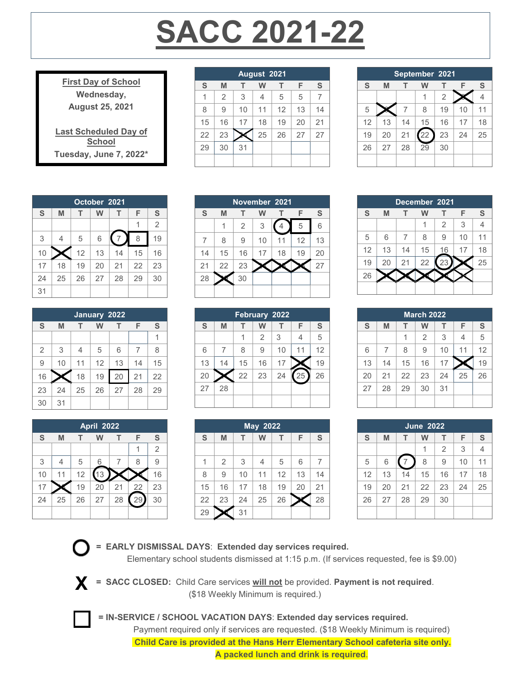## **SACC 2021-22**

## **First Day of School**

**Wednesday, August 25, 2021**

**Last Scheduled Day of School Tuesday, June 7, 2022\***

| October 2021 |    |    |    |    |    |                |  |  |
|--------------|----|----|----|----|----|----------------|--|--|
| S            | M  | т  | W  | т  | F  | ${\mathbb S}$  |  |  |
|              |    |    |    |    | 1  | $\overline{2}$ |  |  |
| 3            | 4  | 5  | 6  | 7  | 8  | 19             |  |  |
| 10           |    | 12 | 13 | 14 | 15 | 16             |  |  |
| 17           | 18 | 19 | 20 | 21 | 22 | 23             |  |  |
| 24           | 25 | 26 | 27 | 28 | 29 | 30             |  |  |
| 31           |    |    |    |    |    |                |  |  |

| January 2022   |    |                |    |    |    |    |  |  |
|----------------|----|----------------|----|----|----|----|--|--|
| S              | M  | т              |    |    | F  | S  |  |  |
|                |    |                |    |    |    |    |  |  |
| $\overline{2}$ | 3  | $\overline{4}$ | 5  | 6  | 7  | 8  |  |  |
| 9              | 10 | 11             | 12 | 13 | 14 | 15 |  |  |
| 16             |    | 18             | 19 | 20 | 21 | 22 |  |  |
| 23             | 24 | 25             | 26 | 27 | 28 | 29 |  |  |
| 30             | 31 |                |    |    |    |    |  |  |

| <b>April 2022</b> |    |    |    |    |    |                |  |  |
|-------------------|----|----|----|----|----|----------------|--|--|
| S                 | M  |    | W  | т  | F  | S              |  |  |
|                   |    |    |    |    |    | $\overline{2}$ |  |  |
| 3                 | 4  | 5  | 6  | 7  | 8  | 9              |  |  |
| 10                | 11 | 12 | 13 |    |    | 16             |  |  |
| 17                |    | 19 | 20 | 21 | 22 | 23             |  |  |
| 24                | 25 | 26 | 27 | 28 |    | 30             |  |  |
|                   |    |    |    |    |    |                |  |  |

| August 2021 |                |    |    |    |    |    |  |  |
|-------------|----------------|----|----|----|----|----|--|--|
| S           | M              | т  | W  | т  | E  | S  |  |  |
|             | $\overline{2}$ | 3  | 4  | 5  | 5  |    |  |  |
| 8           | 9              | 10 | 11 | 12 | 13 | 14 |  |  |
| 15          | 16             | 17 | 18 | 19 | 20 | 21 |  |  |
| 22          | 23             |    | 25 | 26 | 27 | 27 |  |  |
| 29          | 30             | 31 |    |    |    |    |  |  |
|             |                |    |    |    |    |    |  |  |

|    | September 2021 |                |    |                |    |    |  |  |
|----|----------------|----------------|----|----------------|----|----|--|--|
| S  | M              | т              |    | т              | F  | S  |  |  |
|    |                |                |    | $\overline{2}$ |    |    |  |  |
| 5  |                | $\overline{7}$ | 8  | 19             | 10 | 11 |  |  |
| 12 | 13             | 14             | 15 | 16             | 17 | 18 |  |  |
| 19 | 20             | 21             | 22 | 23             | 24 | 25 |  |  |
| 26 | 27             | 28             | 29 | 30             |    |    |  |  |
|    |                |                |    |                |    |    |  |  |

| November 2021 |    |                |    |    |    |    |  |  |
|---------------|----|----------------|----|----|----|----|--|--|
| S             | M  |                |    |    | F  | S  |  |  |
|               |    | $\overline{2}$ | 3  |    | 5  | 6  |  |  |
|               | 8  | 9              | 10 |    | 12 | 13 |  |  |
| 14            | 15 | 16             | 17 | 18 | 19 | 20 |  |  |
| 21            | 22 | 23             |    |    |    | 27 |  |  |
| 28            |    | 30             |    |    |    |    |  |  |
|               |    |                |    |    |    |    |  |  |

| February 2022 |    |    |                |    |    |    |  |  |  |
|---------------|----|----|----------------|----|----|----|--|--|--|
| S             | M  | т  |                | т  | F  | S  |  |  |  |
|               |    |    | $\overline{2}$ | 3  | 4  | 5  |  |  |  |
| 6             | 7  | 8  | 9              | 10 | 11 | 12 |  |  |  |
| 13            | 14 | 15 | 16             | 17 |    | 19 |  |  |  |
| 20            |    | 22 | 23             | 24 | 25 | 26 |  |  |  |
| 27            | 28 |    |                |    |    |    |  |  |  |
|               |    |    |                |    |    |    |  |  |  |

| <b>May 2022</b> |                |    |                |    |    |                |  |  |
|-----------------|----------------|----|----------------|----|----|----------------|--|--|
| ${\mathbb S}$   | M              | T  | W              | т  | F  | $\mathbf S$    |  |  |
|                 |                |    |                |    |    |                |  |  |
| 1               | $\overline{2}$ | 3  | $\overline{4}$ | 5  | 6  | $\overline{7}$ |  |  |
| 8               | 9              | 10 | 11             | 12 | 13 | 14             |  |  |
| 15              | 16             | 17 | 18             | 19 | 20 | 21             |  |  |
| 22              | 23             | 24 | 25             | 26 |    | 28             |  |  |
| 29              |                | 31 |                |    |    |                |  |  |

| December 2021 |    |                |    |    |    |    |  |  |
|---------------|----|----------------|----|----|----|----|--|--|
| S             | M  |                |    |    | F  | S  |  |  |
|               |    |                | 1  | 2  | 3  | 4  |  |  |
| 5             | 6  | $\overline{7}$ | 8  | 9  | 10 | 11 |  |  |
| 12            | 13 | 14             | 15 | 16 | 17 | 18 |  |  |
| 19            | 20 | 21             | 22 | 23 |    | 25 |  |  |
| 26            |    |                |    |    |    |    |  |  |
|               |    |                |    |    |    |    |  |  |

| <b>March 2022</b> |    |    |                |    |    |              |  |  |
|-------------------|----|----|----------------|----|----|--------------|--|--|
| $\mathbf S$       | M  | T  | W              | т  | F  | $\mathsf{s}$ |  |  |
|                   |    | 1  | $\overline{2}$ | 3  | 4  | 5            |  |  |
| 6                 | 7  | 8  | 9              | 10 | 11 | 12           |  |  |
| 13                | 14 | 15 | 16             | 17 |    | 19           |  |  |
| 20                | 21 | 22 | 23             | 24 | 25 | 26           |  |  |
| 27                | 28 | 29 | 30             | 31 |    |              |  |  |
|                   |    |    |                |    |    |              |  |  |

| <b>June 2022</b> |    |    |    |                |    |                |  |  |  |
|------------------|----|----|----|----------------|----|----------------|--|--|--|
| S                | M  | T  | W  | т              | F  | S              |  |  |  |
|                  |    |    | 1  | $\overline{2}$ | 3  | $\overline{4}$ |  |  |  |
| 5                | 6  |    | 8  | 9              | 10 | 11             |  |  |  |
| 12               | 13 | 14 | 15 | 16             | 17 | 18             |  |  |  |
| 19               | 20 | 21 | 22 | 23             | 24 | 25             |  |  |  |
| 26               | 27 | 28 | 29 | 30             |    |                |  |  |  |
|                  |    |    |    |                |    |                |  |  |  |

**= EARLY DISMISSAL DAYS**: **Extended day services required.** Elementary school students dismissed at 1:15 p.m. (If services requested, fee is \$9.00)

**X** = SACC CLOSED: Child Care services **will not** be provided. **Payment is not required**. (\$18 Weekly Minimum is required.)

**= IN-SERVICE / SCHOOL VACATION DAYS**: **Extended day services required.** Payment required only if services are requested. (\$18 Weekly Minimum is required) **Child Care is provided at the Hans Herr Elementary School cafeteria site only.**

**A packed lunch and drink is required**.